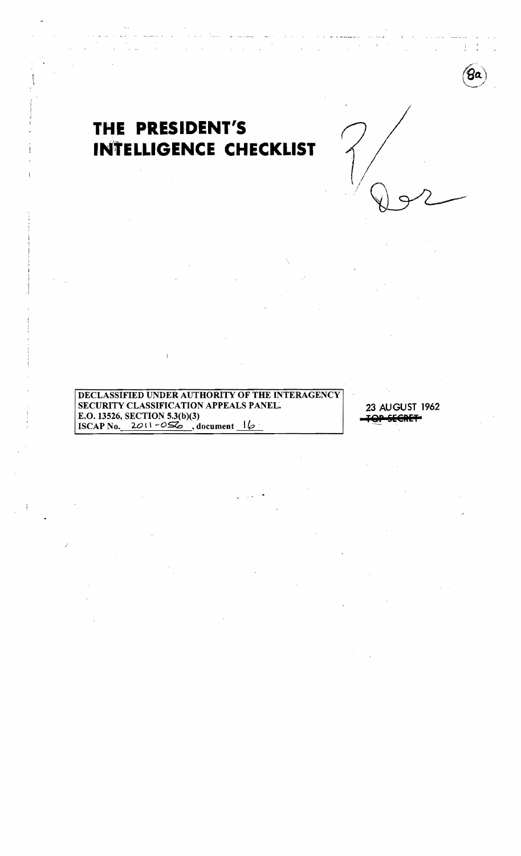

# THE PRESIDENT'S **INTELLIGENCE CHECKLIST**

 $\mathcal{L}$ 

 $\frac{1}{2}$  ,  $\frac{1}{2}$  ,  $\frac{1}{2}$ 

 $\mathbf{r}$ 

DECLASSIFIED UNDER AUTHORITY OF THE INTERAGENCY SECURITY CLASSIFICATION APPEALS PANEL. E.O. 13526, SECTION 5.3(b)(3) ISCAP No.  $20(1 - 0.06)$ , document  $16$ 

Ñ

23 AUGUST 1962 **JOP SECRET**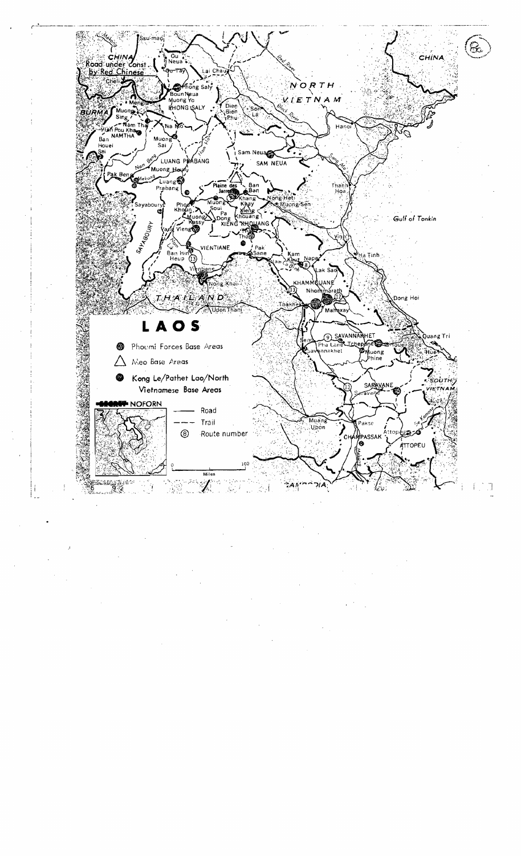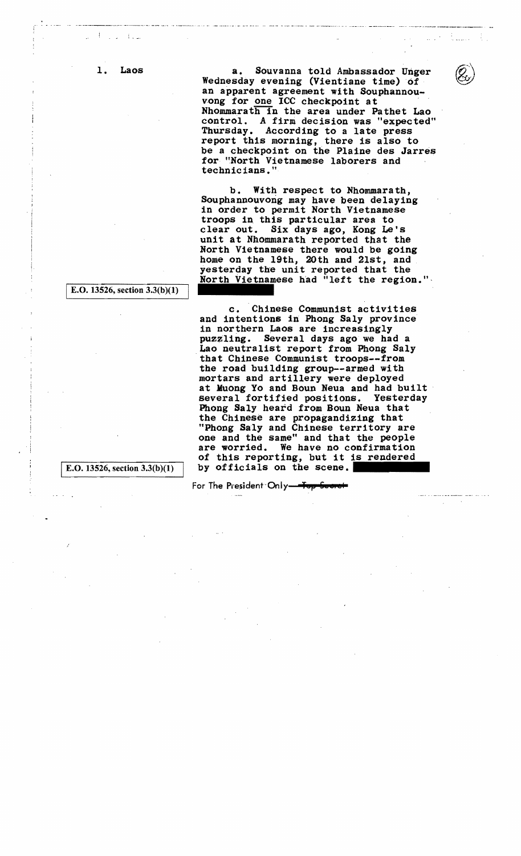1. Laos

,  $\mathbf{I} = \mathbf{I}$ 

> a. Souvanna told Ambassador Unger Wednesday evening (Vientiane time) of an apparent agreement with Souphannouvong for one ICC checkpoint at Nhommarath in the area under Pathet Lao control. A firm decision was "expected" Thursday. According to a late press report this morning, there is also to be a checkpoint on the Plaine des Jarres for "North Vietnamese laborers and technicians."

b. With respect to Nhommarath, Souphannouvong may have been delaying in order to permit North Vietnamese troops in. this particular area to clear out. Six days ago, Kong Le's unit at Nhommarath reported that the North Vietnamese there would be going home on the 19th, 20th and 21st, and esterday the unit reported that the<br>North Vietnamese had "left the region."

c. Chinese Communist activities and intentions in Phong Saly province<br>in northern Laos are increasingly puzzling. Several days ago we had a Lao neutralist report from Phong Saly<br>that Chinese Communist troops--from the road building group--armed with mortars and artillery were deployed at Muong Yo and Boun Neua and had built several fortified positions. Yesterday Phong 8a1y heard from Boun Neua that the Chinese are propagandizing that "Phong Saly and Chinese territory are one and the same" and that the people are worried. We have no confirmation of this reporting, but it is rendered by officials on the scene.

For The President Only <del>Top See</del>

I E.O. 13526, section 3.3(b)(I)

IE.O. 13526, section 3.3(b)(I)

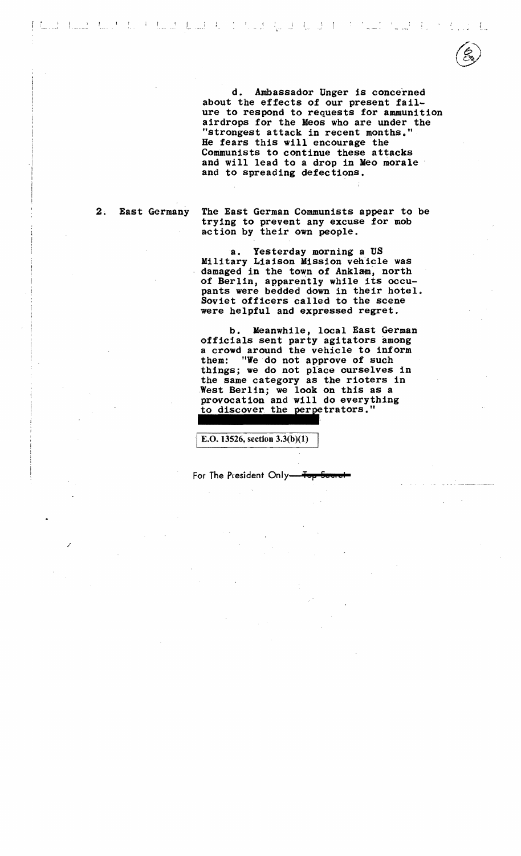I ' 1 .. \_\_\_\_ ,•.



d. Ambassador Unger is conce'rned about the effects of our present failure to respond to requests for ammunition airdrops for the Meos who are under the "strongest attack in recent months." He fears this will encourage the Communists to continue these attacks and will lead to a drop in Meo morale and to spreading defections.

2. East Germany

,""

The East German Communists appear to be trying to prevent any excuse for mob action by their own people.

a. Yesterday morning a US Military Liaison Mission vehicle was damaged in the town of Anklam, north of Berlin, apparently while its occupants were bedded down in their hotel. Soviet officers called to the scene were helpful and expressed regret.

b. Meanwhile, local East German officials sent party agitators among a crowd around the vehicle to inform them: "We do not approve of such things; we do not place ourselves in the same category as the rioters in West Berlin; we look on this as a provocation and will do everything to discover the perpetrators."

E.O. 13526, section 3.3(b)(1)

For The President Only<del> Top Sou</del>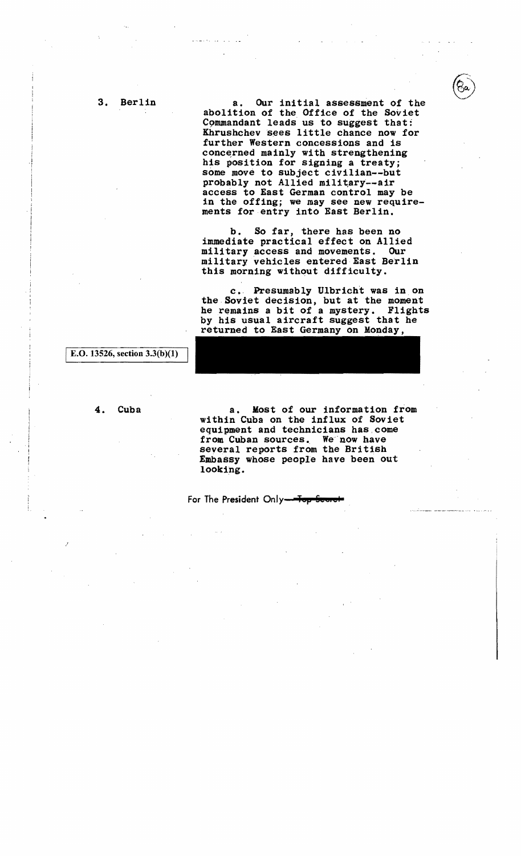a. Our initial assessment of the abolition of the Office of the Soviet Commandant leads us to suggest that: Khrushchev sees little chance now for further Western concessions and is concerned mainly with strengthening<br>his position for signing a treaty; some move to subject civilian--but probably not Allied military--air access to East German control may be in the offing; we may see new requirements for entry into East Berlin.

b. So far, there has been no immediate practical effect on Allied military access and movements. Our military vehicles entered East Berlin this morning without difficulty.

c. Presumably Ulbricht was in on the Soviet decision, but at the moment he remains a bit of a mystery. Flights by his usual aircraft suggest that he returned to East Germany on Monday,

E.O. 13526, section  $3.3(b)(1)$ 

#### 4. Cuba

a. Most of our information from within Cuba on the influx of Soviet equipment and technicians has,come from Cuban sources. We 'now have several reports from the British Embassy whose people have been out looking.

For The President Only-For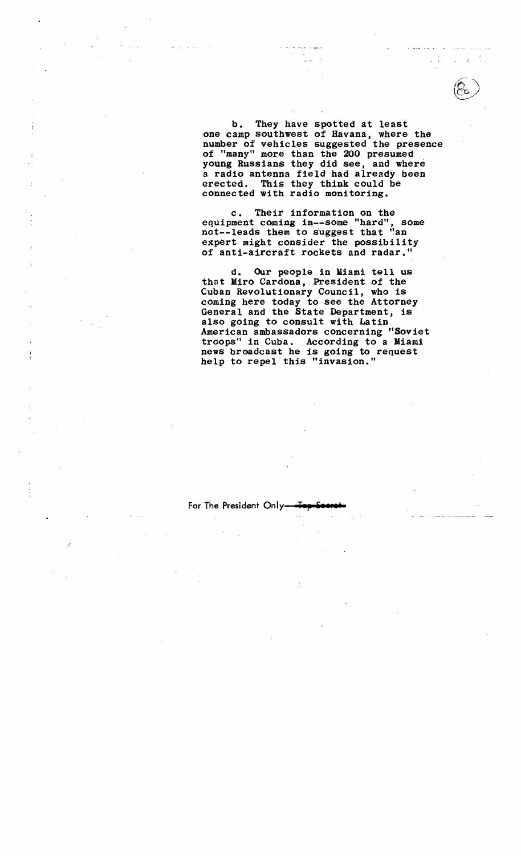b. They have spotted at least one camp southwest of Havana, where the number of vehicles suggested the presence of "many" more than the 200 presumed young Russians they did see, and where a radio antenna field had already been erected. This they think could be connected with radio monitoring.

c. Their information on the equipment coming in--some "hard", some not--leads them to suggest that "an expert might consider the possibility of anti-aircraft rockets and radar."

d. Our people in Miami tell us that Miro Cardona,. President of the Cuban Revolutionary Council, who is coming here today to see the Attorney General and the State Department, is also gOing to consult with Latin American ambassadors concerning "Soviet troops" in Cuba. According to a Miami news broadcast he is going to request help to repel this "invasion."

For The President Only-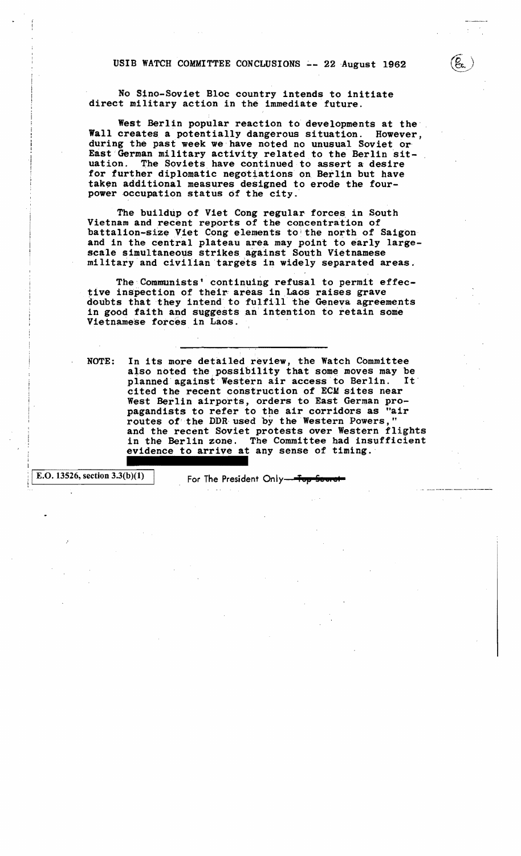USIB WATCH COMMITTEE CONCLUSIONS -- 22 August 1962

No Sino-Soviet Bloc country intends to initiate direct military action in the immediate future.

West Berlin popular reaction to developments at the' Wall creates a potentially dangerous situation. However, during the past week we have noted no unusual Soviet or East German military activity related to the Berlin sit-<br>uation. The Soviets have continued to assert a desire The Soviets have continued to assert a desire for further diplomatic negotiations on Berlin but have taken additional measures designed to erode the fourpower occupation status of the city.

The buildup of Viet Cong regular forces in South Vietnam and recent reports of the Concentration of battalion-size Viet Cong elements to the north of Saigon and in the central plateau area may point to early largescale simultaneous strikes against South Vietnamese military and civilian targets in widely separated areas.

The Communists' continuing refusal to permit effec-<br>tive inspection of their areas in Laos raises grave doubts that they intend to fulfill the Geneva agreements in good faith and suggests an intention to retain some Vietnamese forces in Laos.

NOTE: In its more detailed review, the Watch Committee also noted the possibility that some moves may be planned against Western air access to Berlin. It planned against Western air access to Berlin. cited the recent construction of ECM sites near West Berlin airports, orders to East German propagandists to refer to the air corridors as "air routes of'the DDR'used by the Western Powers," and the recent Soviet protests over Western flights in the Berlin zone. The Committee had insufficient evidence to arrive at any sense of timing.

E.O. 13526, section  $3.3(b)(1)$ 

For The President Only-<del>Top Secret</del>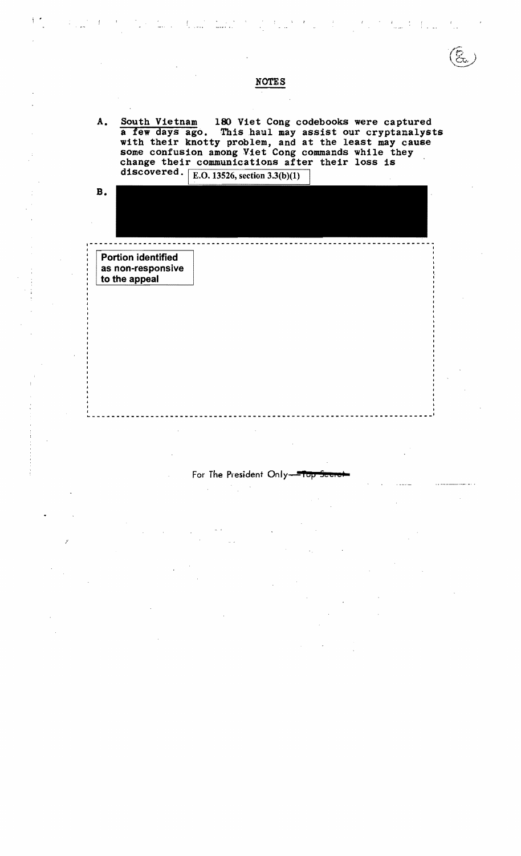**NOTES** A. South Vietnam 180 Viet Cong codebooks were captured a few days ago. This haul may assist our cryptanalysts with their knotty problem, and at the least may cause some confusion among Viet Cong commands while they change their communications after their loss is discovered.  $\sqrt{\text{E.O. 13526, section 3.3(b)(1)}}$ B. 1----------------------------------------------------------------------~ <sup>I</sup> **In the contract of the contract of the contract of the contract of the contract of the contract of the contract** Portion identified as non-responsive to the appeal  $\mathbf{I}$ -----------------------------------------------------------------------,

 $\mathcal{L}_{\text{max}}(t)$  . Then

### For The President Only-10